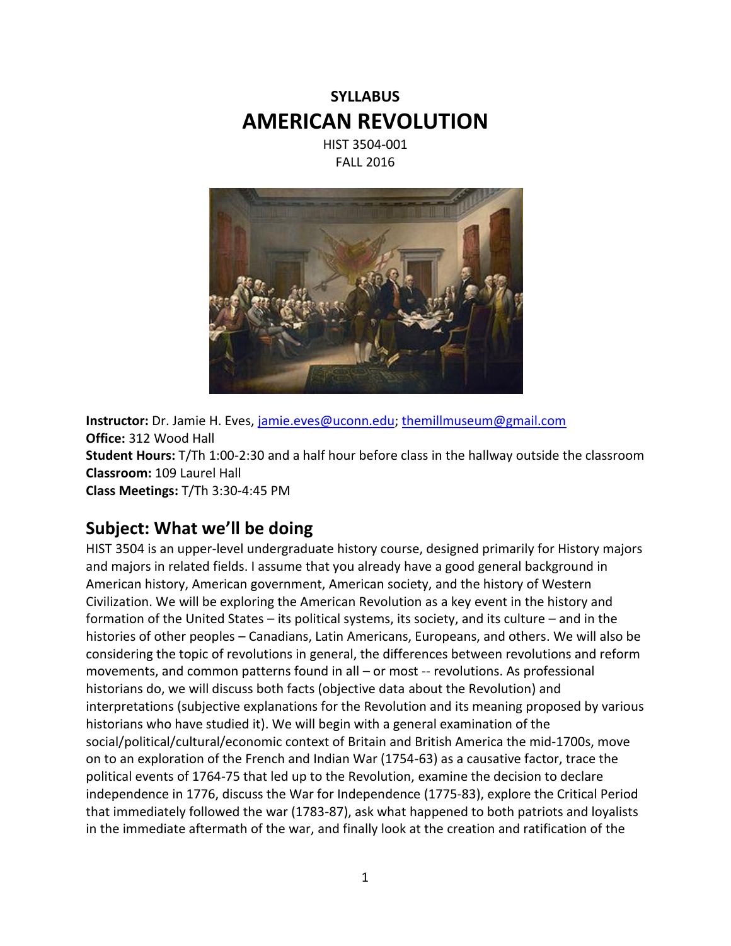# **SYLLABUS AMERICAN REVOLUTION**

HIST 3504-001 FALL 2016



**Instructor:** Dr. Jamie H. Eves, [jamie.eves@uconn.edu;](mailto:jamie.eves@uconn.edu) [themillmuseum@gmail.com](mailto:themillmuseum@gmail.com) **Office:** 312 Wood Hall **Student Hours:** T/Th 1:00-2:30 and a half hour before class in the hallway outside the classroom **Classroom:** 109 Laurel Hall **Class Meetings:** T/Th 3:30-4:45 PM

### **Subject: What we'll be doing**

HIST 3504 is an upper-level undergraduate history course, designed primarily for History majors and majors in related fields. I assume that you already have a good general background in American history, American government, American society, and the history of Western Civilization. We will be exploring the American Revolution as a key event in the history and formation of the United States – its political systems, its society, and its culture – and in the histories of other peoples – Canadians, Latin Americans, Europeans, and others. We will also be considering the topic of revolutions in general, the differences between revolutions and reform movements, and common patterns found in all – or most -- revolutions. As professional historians do, we will discuss both facts (objective data about the Revolution) and interpretations (subjective explanations for the Revolution and its meaning proposed by various historians who have studied it). We will begin with a general examination of the social/political/cultural/economic context of Britain and British America the mid-1700s, move on to an exploration of the French and Indian War (1754-63) as a causative factor, trace the political events of 1764-75 that led up to the Revolution, examine the decision to declare independence in 1776, discuss the War for Independence (1775-83), explore the Critical Period that immediately followed the war (1783-87), ask what happened to both patriots and loyalists in the immediate aftermath of the war, and finally look at the creation and ratification of the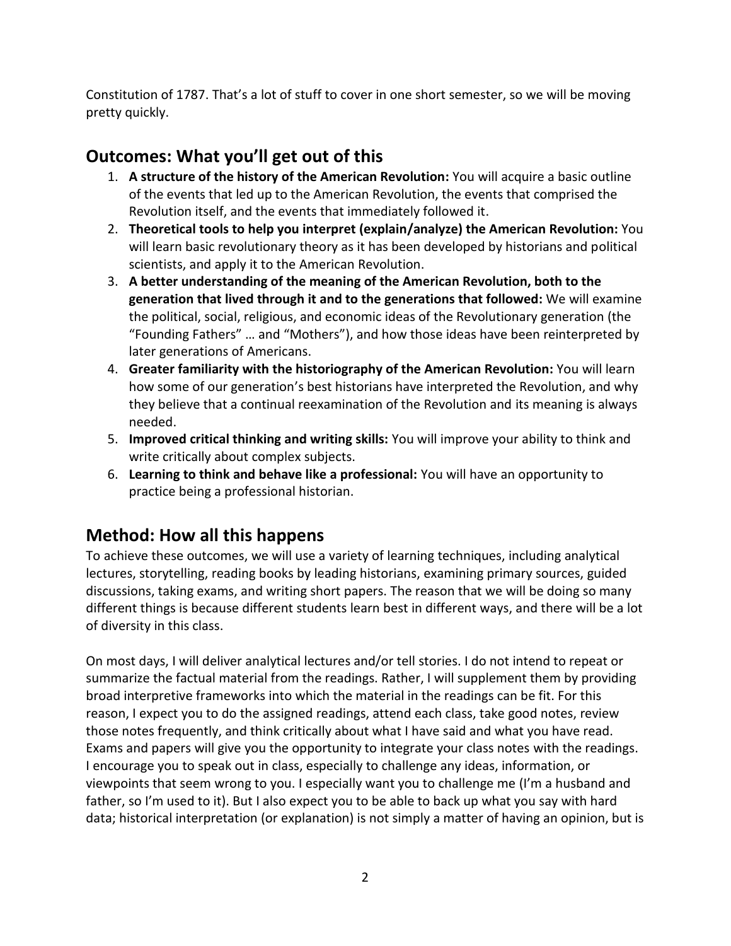Constitution of 1787. That's a lot of stuff to cover in one short semester, so we will be moving pretty quickly.

# **Outcomes: What you'll get out of this**

- 1. **A structure of the history of the American Revolution:** You will acquire a basic outline of the events that led up to the American Revolution, the events that comprised the Revolution itself, and the events that immediately followed it.
- 2. **Theoretical tools to help you interpret (explain/analyze) the American Revolution:** You will learn basic revolutionary theory as it has been developed by historians and political scientists, and apply it to the American Revolution.
- 3. **A better understanding of the meaning of the American Revolution, both to the generation that lived through it and to the generations that followed:** We will examine the political, social, religious, and economic ideas of the Revolutionary generation (the "Founding Fathers" … and "Mothers"), and how those ideas have been reinterpreted by later generations of Americans.
- 4. **Greater familiarity with the historiography of the American Revolution:** You will learn how some of our generation's best historians have interpreted the Revolution, and why they believe that a continual reexamination of the Revolution and its meaning is always needed.
- 5. **Improved critical thinking and writing skills:** You will improve your ability to think and write critically about complex subjects.
- 6. **Learning to think and behave like a professional:** You will have an opportunity to practice being a professional historian.

### **Method: How all this happens**

To achieve these outcomes, we will use a variety of learning techniques, including analytical lectures, storytelling, reading books by leading historians, examining primary sources, guided discussions, taking exams, and writing short papers. The reason that we will be doing so many different things is because different students learn best in different ways, and there will be a lot of diversity in this class.

On most days, I will deliver analytical lectures and/or tell stories. I do not intend to repeat or summarize the factual material from the readings. Rather, I will supplement them by providing broad interpretive frameworks into which the material in the readings can be fit. For this reason, I expect you to do the assigned readings, attend each class, take good notes, review those notes frequently, and think critically about what I have said and what you have read. Exams and papers will give you the opportunity to integrate your class notes with the readings. I encourage you to speak out in class, especially to challenge any ideas, information, or viewpoints that seem wrong to you. I especially want you to challenge me (I'm a husband and father, so I'm used to it). But I also expect you to be able to back up what you say with hard data; historical interpretation (or explanation) is not simply a matter of having an opinion, but is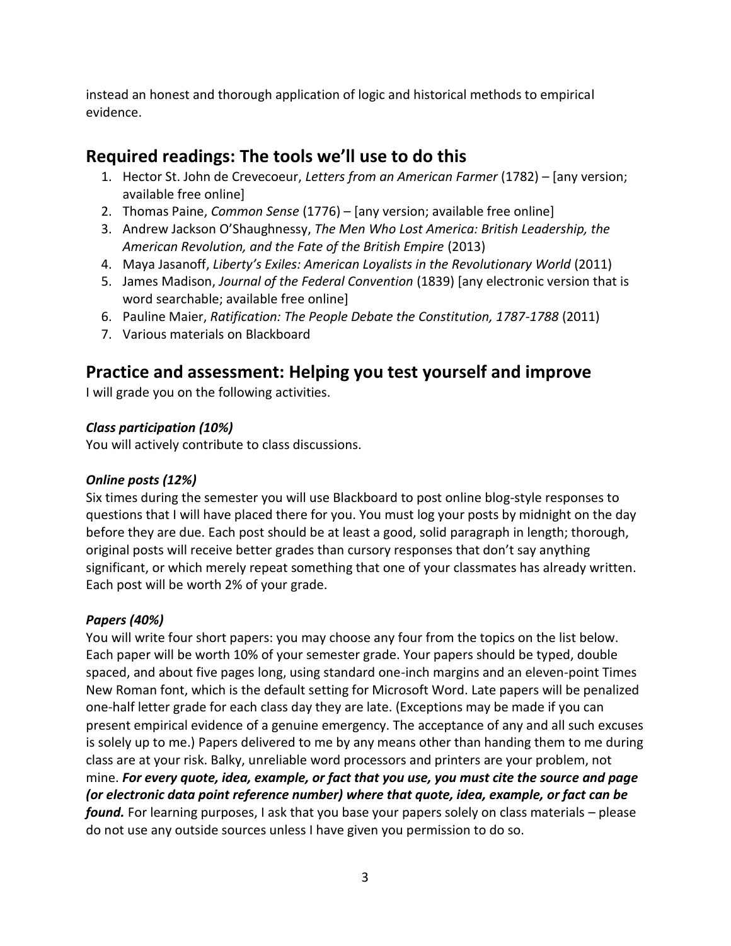instead an honest and thorough application of logic and historical methods to empirical evidence.

### **Required readings: The tools we'll use to do this**

- 1. Hector St. John de Crevecoeur, *Letters from an American Farmer* (1782) [any version; available free online]
- 2. Thomas Paine, *Common Sense* (1776) [any version; available free online]
- 3. Andrew Jackson O'Shaughnessy, *The Men Who Lost America: British Leadership, the American Revolution, and the Fate of the British Empire* (2013)
- 4. Maya Jasanoff, *Liberty's Exiles: American Loyalists in the Revolutionary World* (2011)
- 5. James Madison, *Journal of the Federal Convention* (1839) [any electronic version that is word searchable; available free online]
- 6. Pauline Maier, *Ratification: The People Debate the Constitution, 1787-1788* (2011)
- 7. Various materials on Blackboard

### **Practice and assessment: Helping you test yourself and improve**

I will grade you on the following activities.

#### *Class participation (10%)*

You will actively contribute to class discussions.

#### *Online posts (12%)*

Six times during the semester you will use Blackboard to post online blog-style responses to questions that I will have placed there for you. You must log your posts by midnight on the day before they are due. Each post should be at least a good, solid paragraph in length; thorough, original posts will receive better grades than cursory responses that don't say anything significant, or which merely repeat something that one of your classmates has already written. Each post will be worth 2% of your grade.

#### *Papers (40%)*

You will write four short papers: you may choose any four from the topics on the list below. Each paper will be worth 10% of your semester grade. Your papers should be typed, double spaced, and about five pages long, using standard one-inch margins and an eleven-point Times New Roman font, which is the default setting for Microsoft Word. Late papers will be penalized one-half letter grade for each class day they are late. (Exceptions may be made if you can present empirical evidence of a genuine emergency. The acceptance of any and all such excuses is solely up to me.) Papers delivered to me by any means other than handing them to me during class are at your risk. Balky, unreliable word processors and printers are your problem, not mine. *For every quote, idea, example, or fact that you use, you must cite the source and page (or electronic data point reference number) where that quote, idea, example, or fact can be found.* For learning purposes, I ask that you base your papers solely on class materials – please do not use any outside sources unless I have given you permission to do so.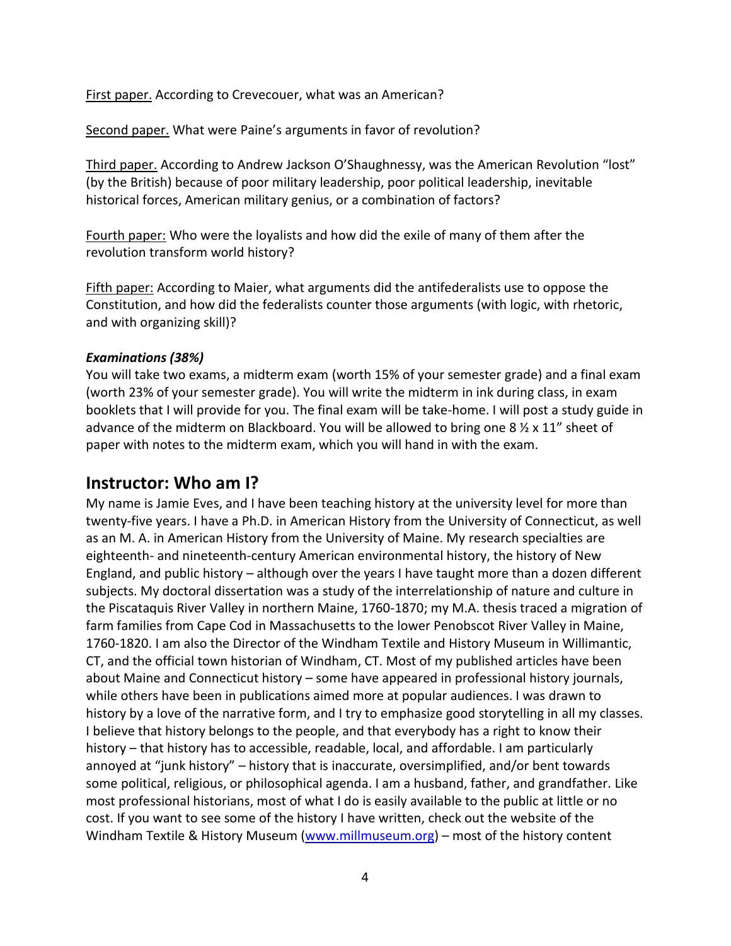First paper. According to Crevecouer, what was an American?

Second paper. What were Paine's arguments in favor of revolution?

Third paper. According to Andrew Jackson O'Shaughnessy, was the American Revolution "lost" (by the British) because of poor military leadership, poor political leadership, inevitable historical forces, American military genius, or a combination of factors?

Fourth paper: Who were the loyalists and how did the exile of many of them after the revolution transform world history?

Fifth paper: According to Maier, what arguments did the antifederalists use to oppose the Constitution, and how did the federalists counter those arguments (with logic, with rhetoric, and with organizing skill)?

#### *Examinations (38%)*

You will take two exams, a midterm exam (worth 15% of your semester grade) and a final exam (worth 23% of your semester grade). You will write the midterm in ink during class, in exam booklets that I will provide for you. The final exam will be take-home. I will post a study guide in advance of the midterm on Blackboard. You will be allowed to bring one 8 ½ x 11" sheet of paper with notes to the midterm exam, which you will hand in with the exam.

### **Instructor: Who am I?**

My name is Jamie Eves, and I have been teaching history at the university level for more than twenty-five years. I have a Ph.D. in American History from the University of Connecticut, as well as an M. A. in American History from the University of Maine. My research specialties are eighteenth- and nineteenth-century American environmental history, the history of New England, and public history – although over the years I have taught more than a dozen different subjects. My doctoral dissertation was a study of the interrelationship of nature and culture in the Piscataquis River Valley in northern Maine, 1760-1870; my M.A. thesis traced a migration of farm families from Cape Cod in Massachusetts to the lower Penobscot River Valley in Maine, 1760-1820. I am also the Director of the Windham Textile and History Museum in Willimantic, CT, and the official town historian of Windham, CT. Most of my published articles have been about Maine and Connecticut history – some have appeared in professional history journals, while others have been in publications aimed more at popular audiences. I was drawn to history by a love of the narrative form, and I try to emphasize good storytelling in all my classes. I believe that history belongs to the people, and that everybody has a right to know their history – that history has to accessible, readable, local, and affordable. I am particularly annoyed at "junk history" – history that is inaccurate, oversimplified, and/or bent towards some political, religious, or philosophical agenda. I am a husband, father, and grandfather. Like most professional historians, most of what I do is easily available to the public at little or no cost. If you want to see some of the history I have written, check out the website of the Windham Textile & History Museum [\(www.millmuseum.org\)](http://www.millmuseum.org/) – most of the history content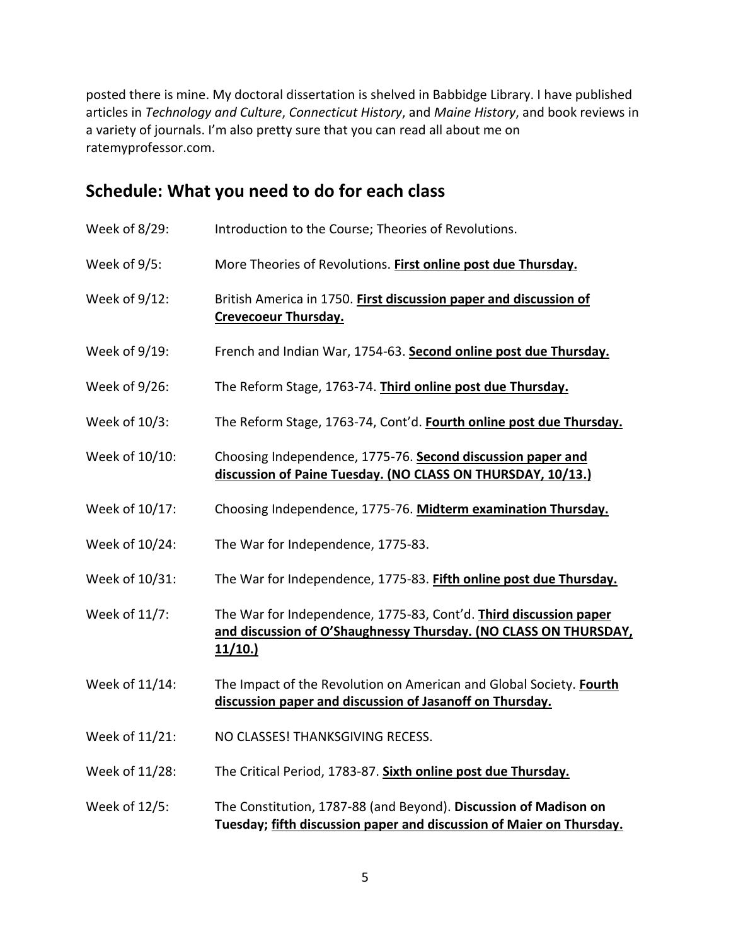posted there is mine. My doctoral dissertation is shelved in Babbidge Library. I have published articles in *Technology and Culture*, *Connecticut History*, and *Maine History*, and book reviews in a variety of journals. I'm also pretty sure that you can read all about me on ratemyprofessor.com.

# **Schedule: What you need to do for each class**

| Week of 8/29:  | Introduction to the Course; Theories of Revolutions.                                                                                            |
|----------------|-------------------------------------------------------------------------------------------------------------------------------------------------|
| Week of 9/5:   | More Theories of Revolutions. First online post due Thursday.                                                                                   |
| Week of 9/12:  | British America in 1750. First discussion paper and discussion of<br><b>Crevecoeur Thursday.</b>                                                |
| Week of 9/19:  | French and Indian War, 1754-63. Second online post due Thursday.                                                                                |
| Week of 9/26:  | The Reform Stage, 1763-74. Third online post due Thursday.                                                                                      |
| Week of 10/3:  | The Reform Stage, 1763-74, Cont'd. Fourth online post due Thursday.                                                                             |
| Week of 10/10: | Choosing Independence, 1775-76. Second discussion paper and<br>discussion of Paine Tuesday. (NO CLASS ON THURSDAY, 10/13.)                      |
| Week of 10/17: | Choosing Independence, 1775-76. Midterm examination Thursday.                                                                                   |
| Week of 10/24: | The War for Independence, 1775-83.                                                                                                              |
| Week of 10/31: | The War for Independence, 1775-83. Fifth online post due Thursday.                                                                              |
| Week of 11/7:  | The War for Independence, 1775-83, Cont'd. Third discussion paper<br>and discussion of O'Shaughnessy Thursday. (NO CLASS ON THURSDAY,<br>11/10. |
| Week of 11/14: | The Impact of the Revolution on American and Global Society. Fourth<br>discussion paper and discussion of Jasanoff on Thursday.                 |
| Week of 11/21: | NO CLASSES! THANKSGIVING RECESS.                                                                                                                |
| Week of 11/28: | The Critical Period, 1783-87. Sixth online post due Thursday.                                                                                   |
| Week of 12/5:  | The Constitution, 1787-88 (and Beyond). Discussion of Madison on<br>Tuesday; fifth discussion paper and discussion of Maier on Thursday.        |